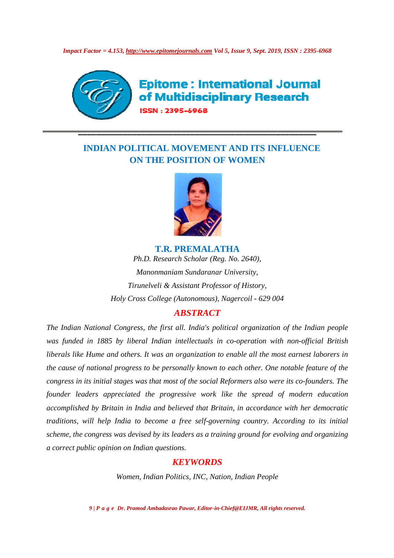*Impact Factor = 4.153, http://www.epitomejournals.com http://www.epitomejournals.com Vol 5, Issue 9, Sept. 2019, ISSN : 2395 2019, : 2395-6968*



**Epitome: International Journal** of Multidisciplinary Research ISSN: 2395-6968

# **INDIAN POLITICAL MOVEMENT AND ITS INFLUENCE ON THE POSITION OF WOMEN**

**\_\_\_\_\_\_\_\_\_\_\_\_\_\_\_\_\_\_\_\_\_\_\_\_\_\_\_\_\_\_\_\_\_\_\_\_\_\_\_\_\_\_\_\_\_\_\_\_\_\_\_\_\_**



*Ph.D. Research Scholar (Reg. No. 2640), 2640), Manonmaniam Sundaranar University, Tirunelveli & Assistant Professor of History,* Holy Cross College (Autonomous), Nagercoil - 629 004 **T.R. PREMALATHA** 

## *ABSTRACT*

*The Indian National Congress, the first all. India's political organization of the Indian people*  was funded in 1885 by liberal Indian intellectuals in co-operation with non *liberals like Hume and others. It was an organization to enable all the most earnest laborers in the cause of national progress to be personally known to each other. One notable feature of the congress in its initial stages was that most of the social Reformers also were its co co-founders. The founder leaders appreciated the progressive work like the spread of modern education accomplished by Britain in India and believed that Britain, in accordance with her democratic traditions, will help India to become a free self scheme, the congress was devised by its leaders as a training ground for evolving and organizing a correct public opinion on Indian questions. public earnest Indoness in*<br>*east to be personally known to each other. One notable feature of the*<br>was that most of the social Reformers also were its co-founders. The<br>red the progressive work like the spread of modern educatio *Nagercoil - 629 004*<br>
litical organization of the Indian people<br>
1 co-operation with non-official British<br>
2 enable all the most earnest laborers in<br>
to each other. One notable feature of the<br>
Reformers also were its co*governing country. Accordin*<br>*training ground for evolving*<br>2DS<br>Nation, Indian People

### *KEYWORDS*

*Women, Indian Politics, INC, Nation, Indian People*

*9 | P a g e Dr. Pramod Ambadasrao Pawar, Editor Editor-in-Chief@EIJMR, All rights reserved.*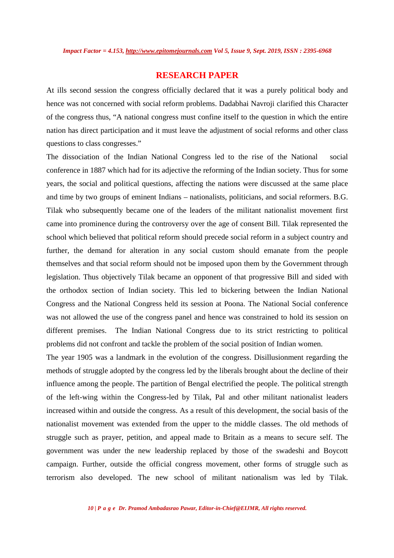#### **RESEARCH PAPER**

At ills second session the congress officially declared that it was a purely political body and hence was not concerned with social reform problems. Dadabhai Navroji clarified this Character of the congress thus, "A national congress must confine itself to the question in which the entire nation has direct participation and it must leave the adjustment of social reforms and other class questions to class congresses."

The dissociation of the Indian National Congress led to the rise of the National social conference in 1887 which had for its adjective the reforming of the Indian society. Thus for some years, the social and political questions, affecting the nations were discussed at the same place and time by two groups of eminent Indians – nationalists, politicians, and social reformers. B.G. Tilak who subsequently became one of the leaders of the militant nationalist movement first came into prominence during the controversy over the age of consent Bill. Tilak represented the school which believed that political reform should precede social reform in a subject country and further, the demand for alteration in any social custom should emanate from the people themselves and that social reform should not be imposed upon them by the Government through legislation. Thus objectively Tilak became an opponent of that progressive Bill and sided with the orthodox section of Indian society. This led to bickering between the Indian National Congress and the National Congress held its session at Poona. The National Social conference was not allowed the use of the congress panel and hence was constrained to hold its session on different premises. The Indian National Congress due to its strict restricting to political problems did not confront and tackle the problem of the social position of Indian women.

The year 1905 was a landmark in the evolution of the congress. Disillusionment regarding the methods of struggle adopted by the congress led by the liberals brought about the decline of their influence among the people. The partition of Bengal electrified the people. The political strength of the left-wing within the Congress-led by Tilak, Pal and other militant nationalist leaders increased within and outside the congress. As a result of this development, the social basis of the nationalist movement was extended from the upper to the middle classes. The old methods of struggle such as prayer, petition, and appeal made to Britain as a means to secure self. The government was under the new leadership replaced by those of the swadeshi and Boycott campaign. Further, outside the official congress movement, other forms of struggle such as terrorism also developed. The new school of militant nationalism was led by Tilak.

*10 | P a g e Dr. Pramod Ambadasrao Pawar, Editor-in-Chief@EIJMR, All rights reserved.*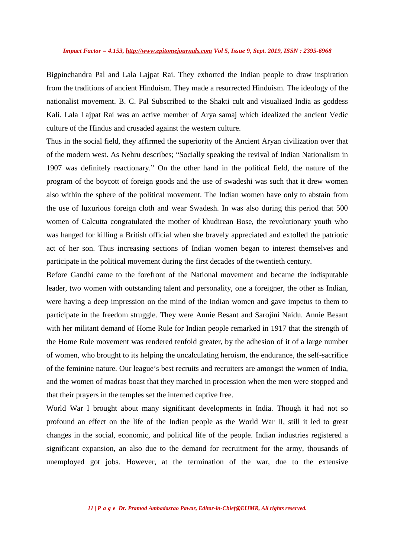#### *Impact Factor = 4.153, http://www.epitomejournals.com Vol 5, Issue 9, Sept. 2019, ISSN : 2395-6968*

Bigpinchandra Pal and Lala Lajpat Rai. They exhorted the Indian people to draw inspiration from the traditions of ancient Hinduism. They made a resurrected Hinduism. The ideology of the nationalist movement. B. C. Pal Subscribed to the Shakti cult and visualized India as goddess Kali. Lala Lajpat Rai was an active member of Arya samaj which idealized the ancient Vedic culture of the Hindus and crusaded against the western culture.

Thus in the social field, they affirmed the superiority of the Ancient Aryan civilization over that of the modern west. As Nehru describes; "Socially speaking the revival of Indian Nationalism in 1907 was definitely reactionary." On the other hand in the political field, the nature of the program of the boycott of foreign goods and the use of swadeshi was such that it drew women also within the sphere of the political movement. The Indian women have only to abstain from the use of luxurious foreign cloth and wear Swadesh. In was also during this period that 500 women of Calcutta congratulated the mother of khudirean Bose, the revolutionary youth who was hanged for killing a British official when she bravely appreciated and extolled the patriotic act of her son. Thus increasing sections of Indian women began to interest themselves and participate in the political movement during the first decades of the twentieth century.

Before Gandhi came to the forefront of the National movement and became the indisputable leader, two women with outstanding talent and personality, one a foreigner, the other as Indian, were having a deep impression on the mind of the Indian women and gave impetus to them to participate in the freedom struggle. They were Annie Besant and Sarojini Naidu. Annie Besant with her militant demand of Home Rule for Indian people remarked in 1917 that the strength of the Home Rule movement was rendered tenfold greater, by the adhesion of it of a large number of women, who brought to its helping the uncalculating heroism, the endurance, the self-sacrifice of the feminine nature. Our league's best recruits and recruiters are amongst the women of India, and the women of madras boast that they marched in procession when the men were stopped and that their prayers in the temples set the interned captive free.

World War I brought about many significant developments in India. Though it had not so profound an effect on the life of the Indian people as the World War II, still it led to great changes in the social, economic, and political life of the people. Indian industries registered a significant expansion, an also due to the demand for recruitment for the army, thousands of unemployed got jobs. However, at the termination of the war, due to the extensive